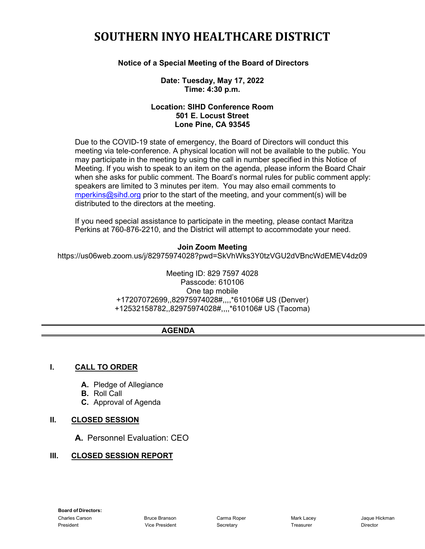# **SOUTHERN INYO HEALTHCARE DISTRICT**

#### **Notice of a Special Meeting of the Board of Directors**

#### **Date: Tuesday, May 17, 2022 Time: 4:30 p.m.**

#### **Location: SIHD Conference Room 501 E. Locust Street Lone Pine, CA 93545**

Due to the COVID-19 state of emergency, the Board of Directors will conduct this meeting via tele-conference. A physical location will not be available to the public. You may participate in the meeting by using the call in number specified in this Notice of Meeting. If you wish to speak to an item on the agenda, please inform the Board Chair when she asks for public comment. The Board's normal rules for public comment apply: speakers are limited to 3 minutes per item. You may also email comments to [mperkins@sihd.org](mailto:mperkins@sihd.org) prior to the start of the meeting, and your comment(s) will be distributed to the directors at the meeting.

If you need special assistance to participate in the meeting, please contact Maritza Perkins at 760-876-2210, and the District will attempt to accommodate your need.

#### **Join Zoom Meeting**

https://us06web.zoom.us/j/82975974028?pwd=SkVhWks3Y0tzVGU2dVBncWdEMEV4dz09

Meeting ID: 829 7597 4028 Passcode: 610106 One tap mobile +17207072699,,82975974028#,,,,\*610106# US (Denver) +12532158782,,82975974028#,,,,\*610106# US (Tacoma)

#### **AGENDA**

#### **I. CALL TO ORDER**

- **A.** Pledge of Allegiance
- **B.** Roll Call
- **C.** Approval of Agenda

#### **II. CLOSED SESSION**

**A.** Personnel Evaluation: CEO

#### **III. CLOSED SESSION REPORT**